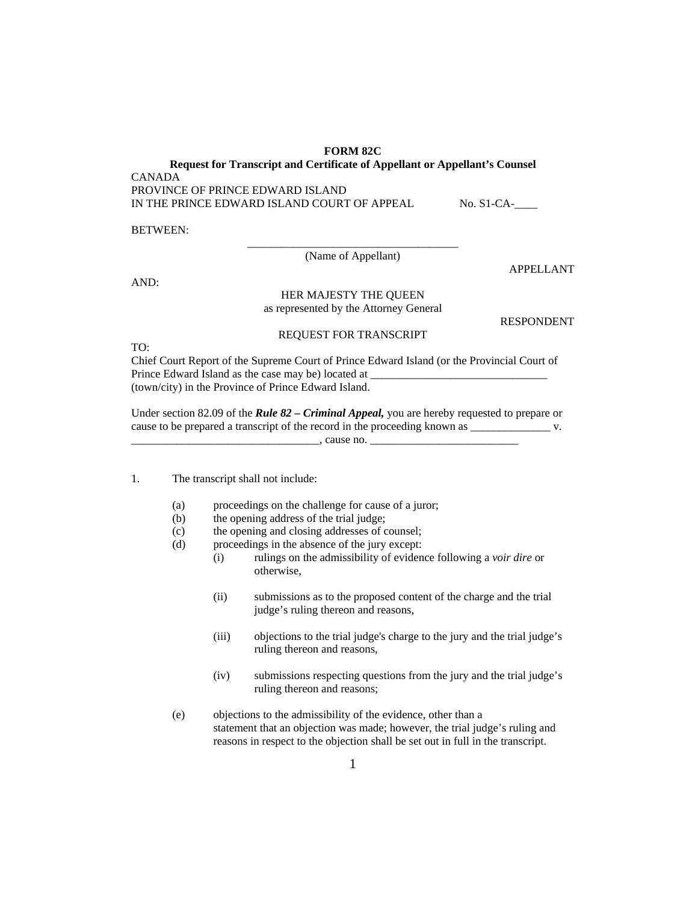**FORM 82C** 

**Request for Transcript and Certificate of Appellant or Appellant's Counsel**  CANADA PROVINCE OF PRINCE EDWARD ISLAND IN THE PRINCE EDWARD ISLAND COURT OF APPEAL No. S1-CA-

BETWEEN:

\_\_\_\_\_\_\_\_\_\_\_\_\_\_\_\_\_\_\_\_\_\_\_\_\_\_\_\_\_\_\_\_\_\_\_\_\_ (Name of Appellant)

AND:

## HER MAJESTY THE QUEEN

as represented by the Attorney General

RESPONDENT

APPELLANT

## REQUEST FOR TRANSCRIPT

TO:

Chief Court Report of the Supreme Court of Prince Edward Island (or the Provincial Court of Prince Edward Island as the case may be) located at \_ (town/city) in the Province of Prince Edward Island.

Under section 82.09 of the *Rule 82 – Criminal Appeal,* you are hereby requested to prepare or cause to be prepared a transcript of the record in the proceeding known as \_\_\_\_\_\_\_\_\_\_\_\_\_\_\_\_\_\_\_\_\_\_\_\_ v. \_\_\_\_\_\_\_\_\_\_\_\_\_\_\_\_\_\_\_\_\_\_\_\_\_\_\_\_\_\_\_\_\_, cause no. \_\_\_\_\_\_\_\_\_\_\_\_\_\_\_\_\_\_\_\_\_\_\_\_\_\_

- 1. The transcript shall not include:
	- (a) proceedings on the challenge for cause of a juror;
	- (b) the opening address of the trial judge;
	- (c) the opening and closing addresses of counsel;
	- (d) proceedings in the absence of the jury except:
		- (i) rulings on the admissibility of evidence following a *voir dire* or otherwise,
		- (ii) submissions as to the proposed content of the charge and the trial judge's ruling thereon and reasons,
		- (iii) objections to the trial judge's charge to the jury and the trial judge's ruling thereon and reasons,
		- (iv) submissions respecting questions from the jury and the trial judge's ruling thereon and reasons;
	- (e) objections to the admissibility of the evidence, other than a statement that an objection was made; however, the trial judge's ruling and reasons in respect to the objection shall be set out in full in the transcript.